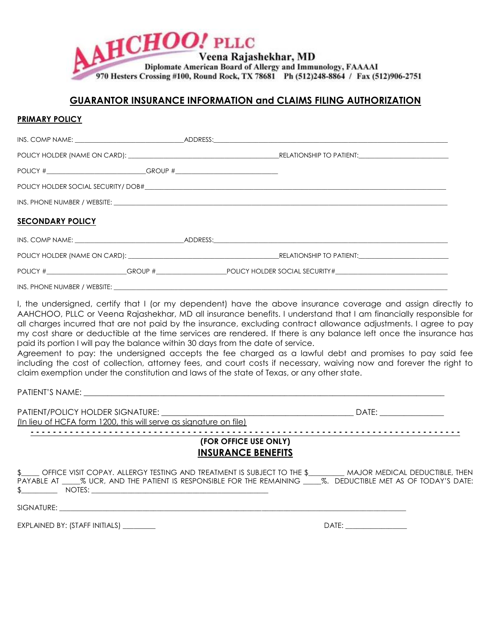

## **GUARANTOR INSURANCE INFORMATION and CLAIMS FILING AUTHORIZATION**

## **PRIMARY POLICY**

| POLICY #_______________________________GROUP #__________________________________ |  |                       |  |  |
|----------------------------------------------------------------------------------|--|-----------------------|--|--|
|                                                                                  |  |                       |  |  |
|                                                                                  |  |                       |  |  |
| <b>SECONDARY POLICY</b>                                                          |  |                       |  |  |
|                                                                                  |  | $ADDRESS:$ $ADDRESS:$ |  |  |
|                                                                                  |  |                       |  |  |
|                                                                                  |  |                       |  |  |
|                                                                                  |  |                       |  |  |

I, the undersigned, certify that I (or my dependent) have the above insurance coverage and assign directly to AAHCHOO, PLLC or Veena Rajashekhar, MD all insurance benefits. I understand that I am financially responsible for all charges incurred that are not paid by the insurance, excluding contract allowance adjustments. I agree to pay my cost share or deductible at the time services are rendered. If there is any balance left once the insurance has paid its portion I will pay the balance within 30 days from the date of service.

Agreement to pay: the undersigned accepts the fee charged as a lawful debt and promises to pay said fee including the cost of collection, attorney fees, and court costs if necessary, waiving now and forever the right to claim exemption under the constitution and laws of the state of Texas, or any other state.

| In lieu of HCFA form 1200, this will serve as signature on file)                                                                                                                                                                                                                                                                                                                                                                                                                                                                     |                                                                                                                                                                                                                                |  |  |
|--------------------------------------------------------------------------------------------------------------------------------------------------------------------------------------------------------------------------------------------------------------------------------------------------------------------------------------------------------------------------------------------------------------------------------------------------------------------------------------------------------------------------------------|--------------------------------------------------------------------------------------------------------------------------------------------------------------------------------------------------------------------------------|--|--|
| (FOR OFFICE USE ONLY)<br><b>INSURANCE BENEFITS</b>                                                                                                                                                                                                                                                                                                                                                                                                                                                                                   |                                                                                                                                                                                                                                |  |  |
| \$ ____ OFFICE VISIT COPAY. ALLERGY TESTING AND TREATMENT IS SUBJECT TO THE \$ _________ MAJOR MEDICAL DEDUCTIBLE, THEN<br>PAYABLE AT ______ % UCR, AND THE PATIENT IS RESPONSIBLE FOR THE REMAINING _____ %. DEDUCTIBLE MET AS OF TODAY'S DATE:<br>$\frac{1}{2}$ NOTES: $\frac{1}{2}$ NOTES: $\frac{1}{2}$ NOTES: $\frac{1}{2}$ NOTES: $\frac{1}{2}$ NOTES: $\frac{1}{2}$ NOTES: $\frac{1}{2}$ NOTES: $\frac{1}{2}$ NOTES: $\frac{1}{2}$ NOTES: $\frac{1}{2}$ NOTES: $\frac{1}{2}$ NOTES: $\frac{1}{2}$ NOTES: $\frac{1}{2}$ NOTES: |                                                                                                                                                                                                                                |  |  |
|                                                                                                                                                                                                                                                                                                                                                                                                                                                                                                                                      |                                                                                                                                                                                                                                |  |  |
| EXPLAINED BY: (STAFF INITIALS) __________                                                                                                                                                                                                                                                                                                                                                                                                                                                                                            | DATE: the contract of the contract of the contract of the contract of the contract of the contract of the contract of the contract of the contract of the contract of the contract of the contract of the contract of the cont |  |  |